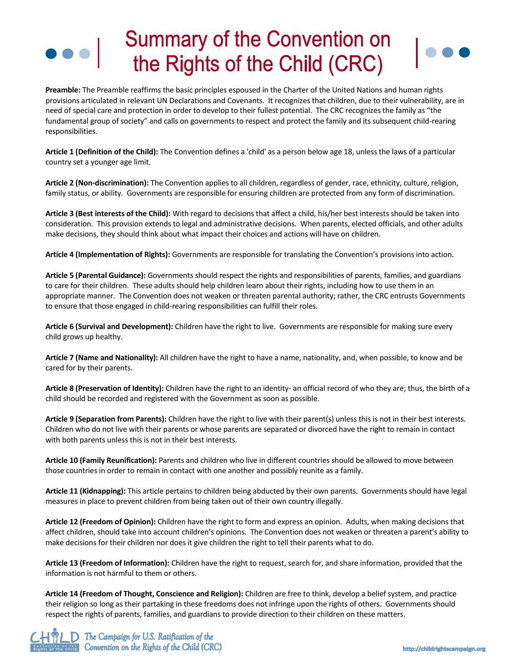## **Summary of the Convention on** the Rights of the Child (CRC)

**Preamble:** The Preamble reaffirms the basic principles espoused in the Charter of the United Nations and human rights provisions articulated in relevant UN Declarations and Covenants. It recognizes that children, due to their vulnerability, are in need of special care and protection in order to develop to their fullest potential. The CRC recognizes the family as "the fundamental group of society" and calls on governments to respect and protect the family and its subsequent child-rearing responsibilities.

**Article 1 (Definition of the Child):** The Convention defines a 'child' as a person below age 18, unless the laws of a particular country set a younger age limit.

**Article 2 (Non-discrimination):** The Convention applies to all children, regardless of gender, race, ethnicity, culture, religion, family status, or ability. Governments are responsible for ensuring children are protected from any form of discrimination.

**Article 3 (Best interests of the Child):** With regard to decisions that affect a child, his/her best interests should be taken into consideration. This provision extends to legal and administrative decisions. When parents, elected officials, and other adults make decisions, they should think about what impact their choices and actions will have on children.

**Article 4 (Implementation of Rights):** Governments are responsible for translating the Convention's provisions into action.

**Article 5 (Parental Guidance):** Governments should respect the rights and responsibilities of parents, families, and guardians to care for their children. These adults should help children learn about their rights, including how to use them in an appropriate manner. The Convention does not weaken or threaten parental authority; rather, the CRC entrusts Governments to ensure that those engaged in child-rearing responsibilities can fulfill their roles.

**Article 6 (Survival and Development):** Children have the right to live. Governments are responsible for making sure every child grows up healthy.

**Article 7 (Name and Nationality):** All children have the right to have a name, nationality, and, when possible, to know and be cared for by their parents.

**Article 8 (Preservation of Identity):** Children have the right to an identity- an official record of who they are; thus, the birth of a child should be recorded and registered with the Government as soon as possible.

**Article 9 (Separation from Parents):** Children have the right to live with their parent(s) unless this is not in their best interests. Children who do not live with their parents or whose parents are separated or divorced have the right to remain in contact with both parents unless this is not in their best interests.

**Article 10 (Family Reunification):** Parents and children who live in different countries should be allowed to move between those countries in order to remain in contact with one another and possibly reunite as a family.

**Article 11 (Kidnapping):** This article pertains to children being abducted by their own parents. Governments should have legal measures in place to prevent children from being taken out of their own country illegally.

**Article 12 (Freedom of Opinion):** Children have the right to form and express an opinion. Adults, when making decisions that affect children, should take into account children's opinions. The Convention does not weaken or threaten a parent's ability to make decisions for their children nor does it give children the right to tell their parents what to do.

**Article 13 (Freedom of Information):** Children have the right to request, search for, and share information, provided that the information is not harmful to them or others.

**Article 14 (Freedom of Thought, Conscience and Religion):** Children are free to think, develop a belief system, and practice their religion so long as their partaking in these freedoms does not infringe upon the rights of others. Governments should respect the rights of parents, families, and guardians to provide direction to their children on these matters.

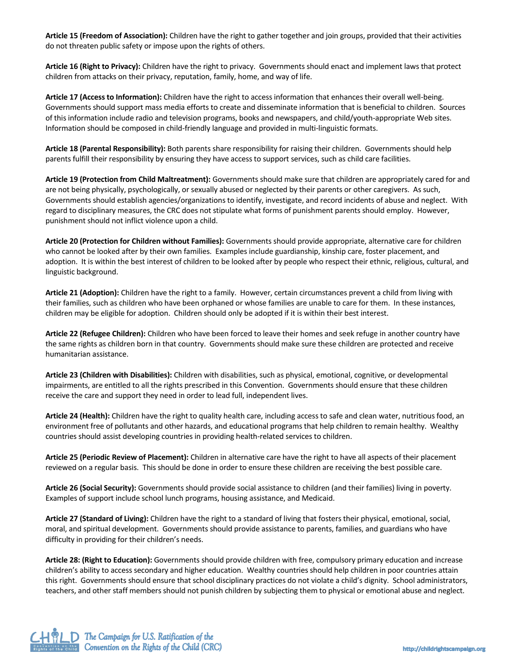**Article 15 (Freedom of Association):** Children have the right to gather together and join groups, provided that their activities do not threaten public safety or impose upon the rights of others.

**Article 16 (Right to Privacy):** Children have the right to privacy. Governments should enact and implement laws that protect children from attacks on their privacy, reputation, family, home, and way of life.

**Article 17 (Access to Information):** Children have the right to access information that enhances their overall well-being. Governments should support mass media efforts to create and disseminate information that is beneficial to children. Sources of this information include radio and television programs, books and newspapers, and child/youth-appropriate Web sites. Information should be composed in child-friendly language and provided in multi-linguistic formats.

**Article 18 (Parental Responsibility):** Both parents share responsibility for raising their children. Governments should help parents fulfill their responsibility by ensuring they have access to support services, such as child care facilities.

**Article 19 (Protection from Child Maltreatment):** Governments should make sure that children are appropriately cared for and are not being physically, psychologically, or sexually abused or neglected by their parents or other caregivers. As such, Governments should establish agencies/organizations to identify, investigate, and record incidents of abuse and neglect. With regard to disciplinary measures, the CRC does not stipulate what forms of punishment parents should employ. However, punishment should not inflict violence upon a child.

**Article 20 (Protection for Children without Families):** Governments should provide appropriate, alternative care for children who cannot be looked after by their own families. Examples include guardianship, kinship care, foster placement, and adoption. It is within the best interest of children to be looked after by people who respect their ethnic, religious, cultural, and linguistic background.

**Article 21 (Adoption):** Children have the right to a family. However, certain circumstances prevent a child from living with their families, such as children who have been orphaned or whose families are unable to care for them. In these instances, children may be eligible for adoption. Children should only be adopted if it is within their best interest.

**Article 22 (Refugee Children):** Children who have been forced to leave their homes and seek refuge in another country have the same rights as children born in that country. Governments should make sure these children are protected and receive humanitarian assistance.

**Article 23 (Children with Disabilities):** Children with disabilities, such as physical, emotional, cognitive, or developmental impairments, are entitled to all the rights prescribed in this Convention. Governments should ensure that these children receive the care and support they need in order to lead full, independent lives.

**Article 24 (Health):** Children have the right to quality health care, including access to safe and clean water, nutritious food, an environment free of pollutants and other hazards, and educational programs that help children to remain healthy. Wealthy countries should assist developing countries in providing health-related services to children.

**Article 25 (Periodic Review of Placement):** Children in alternative care have the right to have all aspects of their placement reviewed on a regular basis. This should be done in order to ensure these children are receiving the best possible care.

**Article 26 (Social Security):** Governments should provide social assistance to children (and their families) living in poverty. Examples of support include school lunch programs, housing assistance, and Medicaid.

**Article 27 (Standard of Living):** Children have the right to a standard of living that fosters their physical, emotional, social, moral, and spiritual development. Governments should provide assistance to parents, families, and guardians who have difficulty in providing for their children's needs.

**Article 28: (Right to Education):** Governments should provide children with free, compulsory primary education and increase children's ability to access secondary and higher education. Wealthy countries should help children in poor countries attain this right. Governments should ensure that school disciplinary practices do not violate a child's dignity. School administrators, teachers, and other staff members should not punish children by subjecting them to physical or emotional abuse and neglect.